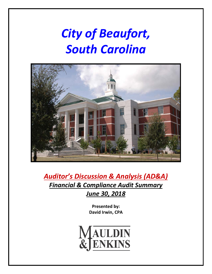# *City of Beaufort, South Carolina*



*Auditor's Discussion & Analysis (AD&A) Financial & Compliance Audit Summary June 30, 2018*

> **Presented by: David Irwin, CPA**

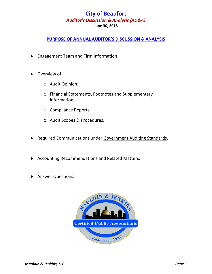### **PURPOSE OF ANNUAL AUDITOR'S DISCUSSION & ANALYSIS**

- ♦ Engagement Team and Firm Information.
- Overview of:
	- o Audit Opinion;
	- o Financial Statements, Footnotes and Supplementary Information;
	- o Compliance Reports;
	- o Audit Scopes & Procedures.
- ♦ Required Communications under Government Auditing Standards.
- ♦ Accounting Recommendations and Related Matters.
- **Answer Questions.**

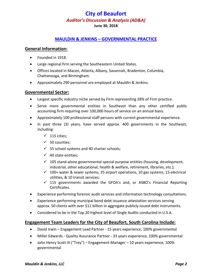#### **MAULDIN & JENKINS – GOVERNMENTAL PRACTICE**

#### **General Information:**

- Founded in 1918.
- Large regional firm serving the Southeastern United States.
- Offices located in Macon, Atlanta, Albany, Savannah, Bradenton, Columbia, Chattanooga, and Birmingham.
- Approximately 290 personnel are employed at Mauldin & Jenkins.

#### **Governmental Sector:**

- Largest specific industry niche served by Firm representing 28% of Firm practice.
- Serve more governmental entities in Southeast than any other certified public accounting firm requiring over 100,000 hours of service on an annual basis.
- Approximately 100 professional staff persons with current governmental experience.
- In past three (3) years, have served approx. 400 governments in the Southeast, including:
	- $\checkmark$  115 cities;
	- $\checkmark$  50 counties;
	- $\checkmark$  55 school systems and 40 charter schools;
	- $\checkmark$  40 state entities:
	- $\checkmark$  105 stand-alone governmental special purpose entities (housing, development, industrial, other educational, health & welfare, retirement, libraries, etc.);
	- $\checkmark$  100+ water & sewer systems, 25 airport operations, 10 gas systems, 15 electrical utilities, & 10 transit services;
	- $\checkmark$  115 governments awarded the GFOA's and, or ASBO's Financial Reporting Certificates.
- Experience performing forensic audit services and information technology consultations.
- Experience performing municipal bond debt issuance attestation services serving approx. 50 clients with over \$11 billion in aggregate publicly issued debt instruments.
- Considered to be in the Top 20 highest level of Single Audits conducted in U.S.A.

#### **Engagement Team Leaders for the City of Beaufort, South Carolina Include:**

- David Irwin Engagement Lead Partner 15 years experience, 100% governmental
- Miller Edwards Quality Assurance Partner 33 years experience, 100% governmental
- John Henry Scott III ("Trey") Engagement Manager 10 years experience, 100% governmental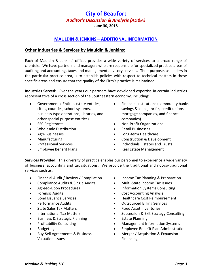**June 30, 2018**

### **MAULDIN & JENKINS – ADDITIONAL INFORMATION**

#### **Other Industries & Services by Mauldin & Jenkins:**

Each of Mauldin & Jenkins' offices provides a wide variety of services to a broad range of clientele. We have partners and managers who are responsible for specialized practice areas of auditing and accounting, taxes and management advisory services. Their purpose, as leaders in the particular practice area, is to establish policies with respect to technical matters in these specific areas and ensure that the quality of the Firm's practice is maintained.

**Industries Served:** Over the years our partners have developed expertise in certain industries representative of a cross section of the Southeastern economy, including:

- Governmental Entities (state entities, cities, counties, school systems, business type operations, libraries, and other special purpose entities)
- **SEC Registrants**
- Wholesale Distribution
- Agri-Businesses
- **Manufacturing**
- Professional Services
- Employee Benefit Plans
- Financial Institutions (community banks, savings & loans, thrifts, credit unions, mortgage companies, and finance companies)
- Non-Profit Organizations
- Retail Businesses
- Long-term Healthcare
- Construction & Development
- Individuals, Estates and Trusts
- Real Estate Management

**Services Provided:** This diversity of practice enables our personnel to experience a wide variety of business, accounting and tax situations. We provide the traditional and not-so-traditional services such as:

- Financial Audit / Review / Compilation
- Compliance Audits & Single Audits
- Agreed-Upon Procedures
- Forensic Audits
- Bond Issuance Services
- Performance Audits
- State Sales Tax Matters
- International Tax Matters
- Business & Strategic Planning
- Profitability Consulting
- Budgeting
- Buy-Sell Agreements & Business Valuation Issues
- Income Tax Planning & Preparation
- Multi-State Income Tax Issues
- Information Systems Consulting
- Cost Accounting Analysis
- Healthcare Cost Reimbursement
- Outsourced Billing Services
- Fixed Asset Inventories
- Succession & Exit Strategy Consulting
- Estate Planning
- Management Information Systems
- Employee Benefit Plan Administration
- Merger / Acquisition & Expansion Financing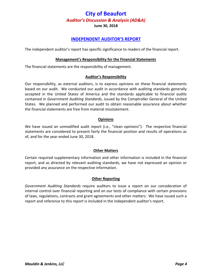**June 30, 2018**

#### **INDEPENDENT AUDITOR'S REPORT**

The independent auditor's report has specific significance to readers of the financial report.

#### **Management's Responsibility for the Financial Statements**

The financial statements are the responsibility of management.

#### **Auditor's Responsibility**

Our responsibility, as external auditors, is to express opinions on these financial statements based on our audit. We conducted our audit in accordance with auditing standards generally accepted in the United States of America and the standards applicable to financial audits contained in *Government Auditing Standards*, issued by the Comptroller General of the United States. We planned and performed our audit to obtain reasonable assurance about whether the financial statements are free from material misstatement.

#### **Opinions**

We have issued an unmodified audit report (i.e., "clean opinions"). The respective financial statements are considered to present fairly the financial position and results of operations as of, and for the year ended June 30, 2018.

#### **Other Matters**

Certain required supplementary information and other information is included in the financial report, and as directed by relevant auditing standards, we have not expressed an opinion or provided any assurance on the respective information.

#### **Other Reporting**

*Government Auditing Standards* require auditors to issue a report on our consideration of internal control over financial reporting and on our tests of compliance with certain provisions of laws, regulations, contracts and grant agreements and other matters. We have issued such a report and reference to this report is included in the independent auditor's report.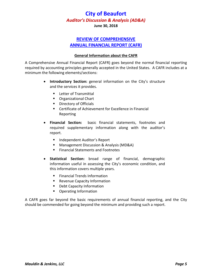**June 30, 2018**

### **REVIEW OF COMPREHENSIVE ANNUAL FINANCIAL REPORT (CAFR)**

#### **General Information about the CAFR**

A Comprehensive Annual Financial Report (CAFR) goes beyond the normal financial reporting required by accounting principles generally accepted in the United States. A CAFR includes at a minimum the following elements/sections:

- **Introductory Section:** general information on the City's structure and the services it provides.
	- **Letter of Transmittal**
	- **C**rganizational Chart
	- **Directory of Officials**
	- Certificate of Achievement for Excellence in Financial Reporting
- **Financial Section:** basic financial statements, footnotes and required supplementary information along with the auditor's report.
	- **Independent Auditor's Report**
	- Management Discussion & Analysis (MD&A)
	- **Financial Statements and Footnotes**
- **Statistical Section:** broad range of financial, demographic information useful in assessing the City's economic condition, and this information covers multiple years.
	- **Financial Trends Information**
	- **Revenue Capacity Information**
	- **Debt Capacity Information**
	- **•** Operating Information

A CAFR goes far beyond the basic requirements of annual financial reporting, and the City should be commended for going beyond the minimum and providing such a report.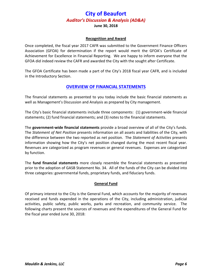#### **Recognition and Award**

Once completed, the fiscal year 2017 CAFR was submitted to the Government Finance Officers Association (GFOA) for determination if the report would merit the GFOA's Certificate of Achievement for Excellence in Financial Reporting. We are happy to inform everyone that the GFOA did indeed review the CAFR and awarded the City with the sought after Certificate.

The GFOA Certificate has been made a part of the City's 2018 fiscal year CAFR, and is included in the Introductory Section.

### **OVERVIEW OF FINANCIAL STATEMENTS**

The financial statements as presented to you today include the basic financial statements as well as Management's Discussion and Analysis as prepared by City management.

The City's basic financial statements include three components: (1) government-wide financial statements; (2) fund financial statements; and (3) notes to the financial statements.

The **government-wide financial statements** provide a broad overview of all of the City's funds. The *Statement of Net Position* presents information on all assets and liabilities of the City, with the difference between the two reported as net position. The *Statement of Activities* presents information showing how the City's net position changed during the most recent fiscal year. Revenues are categorized as program revenues or general revenues. Expenses are categorized by function.

The **fund financial statements** more closely resemble the financial statements as presented prior to the adoption of GASB Statement No. 34. All of the funds of the City can be divided into three categories: governmental funds, proprietary funds, and fiduciary funds.

#### **General Fund**

Of primary interest to the City is the General Fund, which accounts for the majority of revenues received and funds expended in the operations of the City, including administration, judicial activities, public safety, public works, parks and recreation, and community service. The following charts present the sources of revenues and the expenditures of the General Fund for the fiscal year ended June 30, 2018: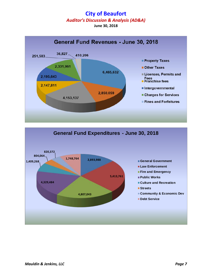# **City of Beaufort**

*Auditor's Discussion & Analysis (AD&A)* 

**June 30, 2018**



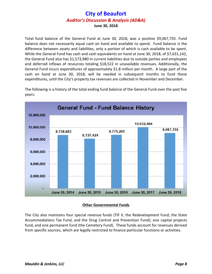Total fund balance of the General Fund at June 30, 2018, was a positive \$9,067,755. Fund balance does not necessarily equal cash on hand and available to spend. Fund balance is the difference between assets and liabilities, only a portion of which is cash available to be spent. While the General Fund has cash and cash equivalents on hand at June 30, 2018, of \$7,631,142, the General Fund also has \$1,573,980 in current liabilities due to outside parties and employees and deferred inflows of resources totaling \$18,522 in unavailable revenues. Additionally, the General Fund incurs expenditures of approximately \$1.8 million per month. A large part of the cash on hand at June 30, 2018, will be needed in subsequent months to fund these expenditures, until the City's property tax revenues are collected in November and December.



The following is a history of the total ending fund balance of the General Fund over the past five years:

#### **Other Governmental Funds**

The City also maintains four special revenue funds (TIF II, the Redevelopment Fund, the State Accommodations Tax Fund, and the Drug Control and Prevention Fund); one capital projects fund, and one permanent fund (the Cemetery Fund). These funds account for revenues derived from specific sources, which are legally restricted to finance particular functions or activities.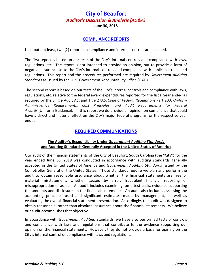**June 30, 2018**

#### **COMPLIANCE REPORTS**

Last, but not least, two (2) reports on compliance and internal controls are included.

The first report is based on our tests of the City's internal controls and compliance with laws, regulations, etc. The report is not intended to provide an opinion, but to provide a form of negative assurance as to the City's internal controls and compliance with applicable rules and regulations. This report and the procedures performed are required by *Government Auditing Standards* as issued by the U. S. Government Accountability Office (GAO).

The second report is based on our tests of the City's internal controls and compliance with laws, regulations, etc. relative to the federal award expenditures reported for the fiscal year ended as required by the Single Audit Act and Title 2 U.S. *Code of Federal Regulations* Part 200, *Uniform Administrative Requirements, Cost Principles, and Audit Requirements for Federal Awards* (Uniform Guidance). In this report we do provide an opinion on compliance that could have a direct and material effect on the City's major federal programs for the respective year ended.

#### **REQUIRED COMMUNICATIONS**

#### **The Auditor's Responsibility Under** *Government Auditing Standards*  **and Auditing Standards Generally Accepted in the United States of America**

Our audit of the financial statements of the City of Beaufort, South Carolina (the "City") for the year ended June 30, 2018 was conducted in accordance with auditing standards generally accepted in the United States of America and *Government Auditing Standards* issued by the Comptroller General of the United States. Those standards require we plan and perform the audit to obtain reasonable assurance about whether the financial statements are free of material misstatement, whether caused by error, fraudulent financial reporting or misappropriation of assets. An audit includes examining, on a test basis, evidence supporting the amounts and disclosures in the financial statements. An audit also includes assessing the accounting principles used and significant estimates made by management, as well as evaluating the overall financial statement presentation. Accordingly, the audit was designed to obtain reasonable, rather than absolute, assurance about the financial statements. We believe our audit accomplishes that objective.

In accordance with *Government Auditing* Standards, we have also performed tests of controls and compliance with laws and regulations that contribute to the evidence supporting our opinion on the financial statements. However, they do not provide a basis for opining on the City's internal control or compliance with laws and regulations.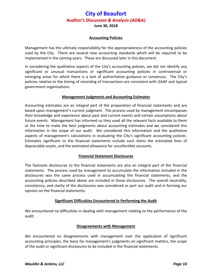**June 30, 2018**

#### **Accounting Policies**

Management has the ultimate responsibility for the appropriateness of the accounting policies used by the City. There are several new accounting standards which will be required to be implemented in the coming years. These are discussed later in this document.

In considering the qualitative aspects of the City's accounting policies, we did not identify any significant or unusual transactions or significant accounting policies in controversial or emerging areas for which there is a lack of authoritative guidance or consensus. The City's policies relative to the timing of recording of transactions are consistent with GAAP and typical government organizations.

#### **Management Judgments and Accounting Estimates**

Accounting estimates are an integral part of the preparation of financial statements and are based upon management's current judgment. The process used by management encompasses their knowledge and experience about past and current events and certain assumptions about future events. Management has informed us they used all the relevant facts available to them at the time to make the best judgments about accounting estimates and we considered this information in the scope of our audit. We considered this information and the qualitative aspects of management's calculations in evaluating the City's significant accounting policies. Estimates significant to the financial statements include such items the estimated lives of depreciable assets, and the estimated allowance for uncollectible accounts.

#### **Financial Statement Disclosures**

The footnote disclosures to the financial statements are also an integral part of the financial statements. The process used by management to accumulate the information included in the disclosures was the same process used in accumulating the financial statements, and the accounting policies described above are included in those disclosures. The overall neutrality, consistency, and clarity of the disclosures was considered as part our audit and in forming our opinion on the financial statements.

#### **Significant Difficulties Encountered in Performing the Audit**

We encountered no difficulties in dealing with management relating to the performance of the audit.

#### **Disagreements with Management**

We encountered no disagreements with management over the application of significant accounting principles, the basis for management's judgments on significant matters, the scope of the audit or significant disclosures to be included in the financial statements.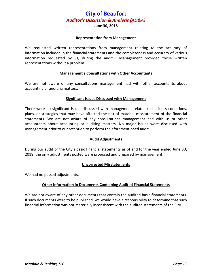#### **June 30, 2018**

#### **Representation from Management**

We requested written representations from management relating to the accuracy of information included in the financial statements and the completeness and accuracy of various information requested by us, during the audit. Management provided those written representations without a problem.

#### **Management's Consultations with Other Accountants**

We are not aware of any consultations management had with other accountants about accounting or auditing matters.

#### **Significant Issues Discussed with Management**

There were no significant issues discussed with management related to business conditions, plans, or strategies that may have affected the risk of material misstatement of the financial statements. We are not aware of any consultations management had with us or other accountants about accounting or auditing matters. No major issues were discussed with management prior to our retention to perform the aforementioned audit.

#### **Audit Adjustments**

During our audit of the City's basic financial statements as of and for the year ended June 30, 2018, the only adjustments posted were proposed and prepared by management.

#### **Uncorrected Misstatements**

We had no passed adjustments.

#### **Other Information in Documents Containing Audited Financial Statements**

We are not aware of any other documents that contain the audited basic financial statements. If such documents were to be published, we would have a responsibility to determine that such financial information was not materially inconsistent with the audited statements of the City.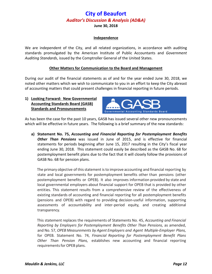#### **Independence**

We are independent of the City, and all related organizations, in accordance with auditing standards promulgated by the American Institute of Public Accountants and *Government Auditing Standards*, issued by the Comptroller General of the United States.

#### **Other Matters for Communication to the Board and Management**

During our audit of the financial statements as of and for the year ended June 30, 2018, we noted other matters which we wish to communicate to you in an effort to keep the City abreast of accounting matters that could present challenges in financial reporting in future periods.

#### **1) Looking Forward: New Governmental Accounting Standards Board (GASB) Standards and Pronouncements**



As has been the case for the past 10 years, GASB has issued several other new pronouncements which will be effective in future years. The following is a brief summary of the new standards:

**a) Statement No. 75,** *Accounting and Financial Reporting for Postemployment Benefits Other Than Pensions* was issued in June of 2015, and is effective for financial statements for periods beginning after June 15, 2017 resulting in the City's fiscal year ending June 30, 2018. This statement could easily be described as the GASB No. 68 for postemployment benefit plans due to the fact that it will closely follow the provisions of GASB No. 68 for pension plans.

The primary objective of this statement is to improve accounting and financial reporting by state and local governments for postemployment benefits other than pensions (other postemployment benefits or OPEB). It also improves information provided by state and local governmental employers about financial support for OPEB that is provided by other entities. This statement results from a comprehensive review of the effectiveness of existing standards of accounting and financial reporting for all postemployment benefits (pensions and OPEB) with regard to providing decision-useful information, supporting assessments of accountability and inter-period equity, and creating additional transparency.

This statement replaces the requirements of Statements No. 45, *Accounting and Financial Reporting by Employers for Postemployment Benefits Other Than Pensions,* as amended, and No. 57, *OPEB Measurements by Agent Employers and Agent Multiple-Employer Plans,* for OPEB. Statement No. 74, *Financial Reporting for Postemployment Benefit Plans Other Than Pension Plans,* establishes new accounting and financial reporting requirements for OPEB plans.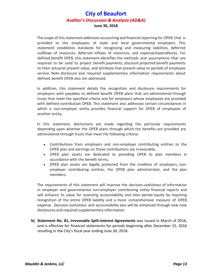The scope of this statement addresses accounting and financial reporting for OPEB that is provided to the employees of state and local governmental employers. This statement establishes standards for recognizing and measuring liabilities, deferred outflows of resources, deferred inflows of resources, and expense/expenditures. For defined benefit OPEB, this statement identifies the methods and assumptions that are required to be used to project benefit payments, discount projected benefit payments to their actuarial present value, and attribute that present value to periods of employee service. Note disclosure and required supplementary information requirements about defined benefit OPEB also are addressed.

In addition, this statement details the recognition and disclosure requirements for employers with payables to defined benefit OPEB plans that are administered through trusts that meet the specified criteria and for employers whose employees are provided with defined contribution OPEB. This statement also addresses certain circumstances in which a non-employer entity provides financial support for OPEB of employees of another entity.

In this statement, distinctions are made regarding the particular requirements depending upon whether the OPEB plans through which the benefits are provided are administered through trusts that meet the following criteria:

- Contributions from employers and non-employer contributing entities to the OPEB plan and earnings on those contributions are irrevocable;
- OPEB plan assets are dedicated to providing OPEB to plan members in accordance with the benefit terms;
- OPEB plan assets are legally protected from the creditors of employers, nonemployer contributing entities, the OPEB plan administrator, and the plan members.

The requirements of this statement will improve the decision-usefulness of information in employer and governmental non-employer contributing entity financial reports and will enhance its value for assessing accountability and inter-period equity by requiring recognition of the entire OPEB liability and a more comprehensive measure of OPEB expense. Decision-usefulness and accountability also will be enhanced through new note disclosures and required supplementary information.

**b) Statement No. 81,** *Irrevocable Split-Interest Agreements* was issued in March of 2016, and is effective for financial statements for periods beginning after December 15, 2016 resulting in the City's fiscal year ending June 30, 2018.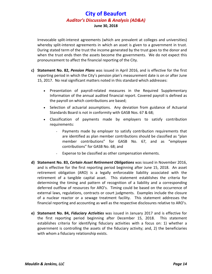Irrevocable split-interest agreements (which are prevalent at colleges and universities) whereby split-interest agreements in which an asset is given to a government in trust. During stated term of the trust the income generated by the trust goes to the donor and when the trust ends then the assets become the governments. We do not expect this pronouncement to affect the financial reporting of the City.

- **c) Statement No. 82,** *Pension Plans* was issued in April 2016, and is effective for the first reporting period in which the City's pension plan's measurement date is on or after June 15, 2017. No real significant matters noted in this standard which addresses:
	- Presentation of payroll-related measures in the Required Supplementary Information of the annual audited financial report. Covered payroll is defined as the payroll on which contributions are based;
	- Selection of actuarial assumptions. Any deviation from guidance of Actuarial Standards Board is not in conformity with GASB Nos. 67 & 68;
	- Classification of payments made by employers to satisfy contribution requirements:
		- Payments made by employer to satisfy contribution requirements that are identified as plan member contributions should be classified as "plan member contributions" for GASB No. 67, and as "employee contributions" for GASB No. 68; and
		- Expense to be classified as other compensation elements.
- **d) Statement No. 83,** *Certain Asset Retirement Obligations* was issued in November 2016, and is effective for the first reporting period beginning after June 15, 2018. An asset retirement obligation (ARO) is a legally enforceable liability associated with the retirement of a tangible capital asset. This statement establishes the criteria for determining the timing and pattern of recognition of a liability and a corresponding deferred outflow of resources for ARO's. Timing could be based on the occurrence of external laws, regulations, contracts or court judgments. Examples include the closure of a nuclear reactor or a sewage treatment facility. This statement addresses the financial reporting and accounting as well as the respective disclosures relative to ARO's.
- **e) Statement No. 84,** *Fiduciary Activities* was issued in January 2017 and is effective for the first reporting period beginning after December 15, 2018. This statement establishes criteria for identifying fiduciary activities with a focus on: 1) whether a government is controlling the assets of the fiduciary activity; and, 2) the beneficiaries with whom a fiduciary relationship exists.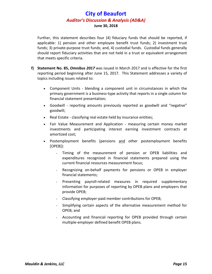Further, this statement describes four (4) fiduciary funds that should be reported, if applicable: 1) pension and other employee benefit trust funds; 2) investment trust funds; 3) private-purpose trust funds; and, 4) custodial funds. Custodial funds generally should report fiduciary activities that are not held in a trust or equivalent arrangement that meets specific criteria.

- **f) Statement No. 85,** *Omnibus 2017* was issued in March 2017 and is effective for the first reporting period beginning after June 15, 2017. This Statement addresses a variety of topics including issues related to:
	- Component Units blending a component unit in circumstances in which the primary government is a business-type activity that reports in a single column for financial statement presentation;
	- Goodwill reporting amounts previously reported as goodwill and "negative" goodwill;
	- Real Estate classifying real estate held by insurance entities;
	- Fair Value Measurement and Application measuring certain money market investments and participating interest earning investment contracts at amortized cost;
	- Postemployment benefits (pensions and other postemployment benefits [OPEB]):
		- Timing of the measurement of pension or OPEB liabilities and expenditures recognized in financial statements prepared using the current financial resources measurement focus;
		- Recognizing on-behalf payments for pensions or OPEB in employer financial statements;
		- Presenting payroll-related measures in required supplementary information for purposes of reporting by OPEB plans and employers that provide OPEB;
		- Classifying employer-paid member contributions for OPEB;
		- Simplifying certain aspects of the alternative measurement method for OPEB; and
		- Accounting and financial reporting for OPEB provided through certain multiple-employer defined benefit OPEB plans.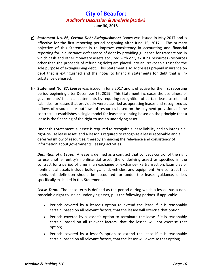- **g) Statement No. 86,** *Certain Debt Extinguishment Issues* was issued in May 2017 and is effective for the first reporting period beginning after June 15, 2017. The primary objective of this Statement is to improve consistency in accounting and financial reporting for in-substance defeasance of debt by providing guidance for transactions in which cash and other monetary assets acquired with only existing resources (resources other than the proceeds of refunding debt) are placed into an irrevocable trust for the sole purpose of extinguishing debt. This Statement also addresses prepaid insurance on debt that is extinguished and the notes to financial statements for debt that is insubstance defeased.
- **h) Statement No. 87,** *Leases* was issued in June 2017 and is effective for the first reporting period beginning after December 15, 2019. This Statement increases the usefulness of governments' financial statements by requiring recognition of certain lease assets and liabilities for leases that previously were classified as operating leases and recognized as inflows of resources or outflows of resources based on the payment provisions of the contract. It establishes a single model for lease accounting based on the principle that a lease is the financing of the right to use an underlying asset.

Under this Statement, a lessee is required to recognize a lease liability and an intangible right-to-use lease asset, and a lessor is required to recognize a lease receivable and a deferred inflow of resources, thereby enhancing the relevance and consistency of information about governments' leasing activities.

*Definition of a Lease:* A lease is defined as a contract that conveys control of the right to use another entity's nonfinancial asset (the underlying asset) as specified in the contract for a period of time in an exchange or exchange-like transaction. Examples of nonfinancial assets include buildings, land, vehicles, and equipment. Any contract that meets this definition should be accounted for under the leases guidance, unless specifically excluded in this Statement.

*Lease Term:* The lease term is defined as the period during which a lessee has a noncancelable right to use an underlying asset, plus the following periods, if applicable:

- Periods covered by a lessee's option to extend the lease if it is reasonably certain, based on all relevant factors, that the lessee will exercise that option;
- Periods covered by a lessee's option to terminate the lease if it is reasonably certain, based on all relevant factors, that the lessee will not exercise that option;
- Periods covered by a lessor's option to extend the lease if it is reasonably certain, based on all relevant factors, that the lessor will exercise that option;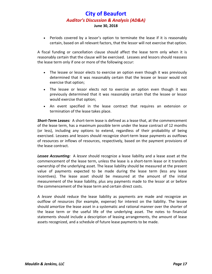• Periods covered by a lessor's option to terminate the lease if it is reasonably certain, based on all relevant factors, that the lessor will not exercise that option.

A fiscal funding or cancellation clause should affect the lease term only when it is reasonably certain that the clause will be exercised. Lessees and lessors should reassess the lease term only if one or more of the following occur:

- The lessee or lessor elects to exercise an option even though it was previously determined that it was reasonably certain that the lessee or lessor would not exercise that option;
- The lessee or lessor elects not to exercise an option even though it was previously determined that it was reasonably certain that the lessee or lessor would exercise that option;
- An event specified in the lease contract that requires an extension or termination of the lease takes place.

*Short-Term Leases:* A short-term lease is defined as a lease that, at the commencement of the lease term, has a maximum possible term under the lease contract of 12 months (or less), including any options to extend, regardless of their probability of being exercised. Lessees and lessors should recognize short-term lease payments as outflows of resources or inflows of resources, respectively, based on the payment provisions of the lease contract.

*Lessee Accounting:* A *lessee* should recognize a lease liability and a lease asset at the commencement of the lease term, unless the lease is a short-term lease or it transfers ownership of the underlying asset. The lease liability should be measured at the present value of payments expected to be made during the lease term (less any lease incentives). The lease asset should be measured at the amount of the initial measurement of the lease liability, plus any payments made to the lessor at or before the commencement of the lease term and certain direct costs.

A *lessee* should reduce the lease liability as payments are made and recognize an outflow of resources (for example, expense) for interest on the liability. The lessee should amortize the lease asset in a systematic and rational manner over the shorter of the lease term or the useful life of the underlying asset. The notes to financial statements should include a description of leasing arrangements, the amount of lease assets recognized, and a schedule of future lease payments to be made.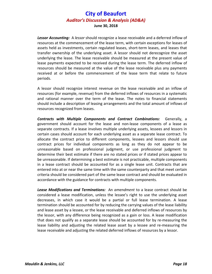*Lessor Accounting:* A *lessor* should recognize a lease receivable and a deferred inflow of resources at the commencement of the lease term, with certain exceptions for leases of assets held as investments, certain regulated leases, short-term leases, and leases that transfer ownership of the underlying asset. A lessor should not derecognize the asset underlying the lease. The lease receivable should be measured at the present value of lease payments expected to be received during the lease term. The deferred inflow of resources should be measured at the value of the lease receivable plus any payments received at or before the commencement of the lease term that relate to future periods.

A lessor should recognize interest revenue on the lease receivable and an inflow of resources (for example, revenue) from the deferred inflows of resources in a systematic and rational manner over the term of the lease. The notes to financial statements should include a description of leasing arrangements and the total amount of inflows of resources recognized from leases.

*Contracts with Multiple Components and Contract Combinations:* Generally, a government should account for the lease and non-lease components of a lease as separate contracts. If a lease involves multiple underlying assets, lessees and lessors in certain cases should account for each underlying asset as a separate lease contract. To allocate the contract price to different components, lessees and lessors should use contract prices for individual components as long as they do not appear to be unreasonable based on professional judgment, or use professional judgment to determine their best estimate if there are no stated prices or if stated prices appear to be unreasonable. If determining a best estimate is not practicable, multiple components in a lease contract should be accounted for as a single lease unit. Contracts that are entered into at or near the same time with the same counterparty and that meet certain criteria should be considered part of the same lease contract and should be evaluated in accordance with the guidance for contracts with multiple components.

*Lease Modifications and Terminations:* An *amendment* to a lease contract should be considered a lease modification, unless the lessee's right to use the underlying asset decreases, in which case it would be a partial or full lease termination. A lease termination should be accounted for by reducing the carrying values of the lease liability and lease asset by a lessee, or the lease receivable and deferred inflows of resources by the lessor, with any difference being recognized as a gain or loss. A lease modification that does not qualify as a separate lease should be accounted for by re-measuring the lease liability and adjusting the related lease asset by a lessee and re-measuring the lease receivable and adjusting the related deferred inflows of resources by a lessor.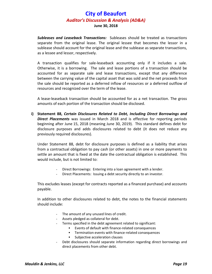*Subleases and Leaseback Transactions:* Subleases should be treated as transactions separate from the original lease. The original lessee that becomes the lessor in a sublease should account for the original lease and the sublease as separate transactions, as a lessee and lessor, respectively.

A transaction qualifies for sale-leaseback accounting only if it includes a sale. Otherwise, it is a borrowing. The sale and lease portions of a transaction should be accounted for as separate sale and lease transactions, except that any difference between the carrying value of the capital asset that was sold and the net proceeds from the sale should be reported as a deferred inflow of resources or a deferred outflow of resources and recognized over the term of the lease.

A lease-leaseback transaction should be accounted for as a net transaction. The gross amounts of each portion of the transaction should be disclosed.

**i) Statement 88,** *Certain Disclosures Related to Debt, Including Direct Borrowings and Direct Placements* was issued in March 2018 and is effective for reporting periods beginning after June 15, 2018 (meaning June 30, 2019). This standard defines debt for disclosure purposes and adds disclosures related to debt (it does not reduce any previously required disclosures).

Under Statement 88, debt for disclosure purposes is defined as a liability that arises from a contractual obligation to pay cash (or other assets) in one or more payments to settle an amount that is fixed at the date the contractual obligation is established. This would include, but is not limited to:

- Direct Borrowings: Entering into a loan agreement with a lender.
- Direct Placements: Issuing a debt security directly to an investor.

This excludes leases (except for contracts reported as a financed purchase) and accounts payable.

In addition to other disclosures related to debt, the notes to the financial statements should include:

- The amount of any unused lines of credit.
- Assets pledged as collateral for debt.
- Terms specified in the debt agreement related to significant:
	- Events of default with finance-related consequences
	- **Fig. 2** Termination events with finance-related consequences
	- Subjective acceleration clauses
- Debt disclosures should separate information regarding direct borrowings and direct placements from other debt.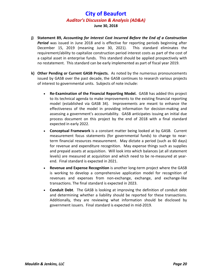- **j) Statement 89,** *Accounting for Interest Cost Incurred Before the End of a Construction Period* was issued in June 2018 and is effective for reporting periods beginning after December 15, 2019 (meaning June 30, 2021). This standard eliminates the requirement/ability to capitalize construction period interest costs as part of the cost of a capital asset in enterprise funds. This standard should be applied prospectively with no restatement. This standard can be early implemented as part of fiscal year 2019.
- **k) Other Pending or Current GASB Projects.** As noted by the numerous pronouncements issued by GASB over the past decade, the GASB continues to research various projects of interest to governmental units. Subjects of note include:
	- **Re-Examination of the Financial Reporting Model.** GASB has added this project to its technical agenda to make improvements to the existing financial reporting model (established via GASB 34). Improvements are meant to enhance the effectiveness of the model in providing information for decision-making and assessing a government's accountability. GASB anticipates issuing an initial due process document on this project by the end of 2018 with a final standard expected in early 2022.
	- **Conceptual Framework** is a constant matter being looked at by GASB. Current measurement focus statements (for governmental funds) to change to nearterm financial resources measurement. May dictate a period (such as 60 days) for revenue and expenditure recognition. May expense things such as supplies and prepaid assets at acquisition. Will look into which balances (at all statement levels) are measured at acquisition and which need to be re-measured at yearend. Final standard is expected in 2021.
	- **Revenue and Expense Recognition** is another long-term project where the GASB is working to develop a comprehensive application model for recognition of revenues and expenses from non-exchange, exchange, and exchange-like transactions. The final standard is expected in 2023.
	- **Conduit Debt**. The GASB is looking at improving the definition of conduit debt and determining whether a liability should be reported for these transactions. Additionally, they are reviewing what information should be disclosed by government issuers. Final standard is expected in mid-2019.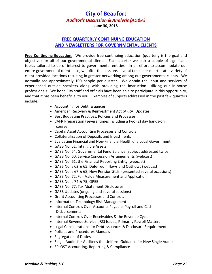### **FREE QUARTERLY CONTINUING EDUCATION AND NEWSLETTERS FOR GOVERNMENTAL CLIENTS**

**Free Continuing Education.** We provide free continuing education (quarterly is the goal and objective) for all of our governmental clients. Each quarter we pick a couple of significant topics tailored to be of interest to governmental entities. In an effort to accommodate our entire governmental client base, we offer the sessions several times per quarter at a variety of client provided locations resulting in greater networking among our governmental clients. We normally see approximately 100 people per quarter. We obtain the input and services of experienced outside speakers along with providing the instruction utilizing our in-house professionals. We hope City staff and officials have been able to participate in this opportunity, and that it has been beneficial to you. Examples of subjects addressed in the past few quarters include:

- Accounting for Debt Issuances
- American Recovery & Reinvestment Act (ARRA) Updates
- Best Budgeting Practices, Policies and Processes
- CAFR Preparation (several times including a two (2) day hands-on course)
- Capital Asset Accounting Processes and Controls
- Collateralization of Deposits and Investments
- Evaluating Financial and Non-Financial Health of a Local Government
- GASB No. 51, Intangible Assets
- GASB No. 54, Governmental Fund Balance (subject addressed twice)
- GASB No. 60, Service Concession Arrangements (webcast)
- GASB No. 61, the Financial Reporting Entity (webcast)
- GASB No.'s 63 & 65, Deferred Inflows and Outflows (webcast)
- GASB No.'s 67 & 68, New Pension Stds. (presented several occasions)
- GASB No. 72, Fair Value Measurement and Application
- GASB No.'s 74 & 75, OPEB
- GASB No. 77, Tax Abatement Disclosures
- GASB Updates (ongoing and several sessions)
- Grant Accounting Processes and Controls
- Information Technology Risk Management
- Internal Controls Over Accounts Payable, Payroll and Cash Disbursements
- Internal Controls Over Receivables & the Revenue Cycle
- Internal Revenue Service (IRS) Issues, Primarily Payroll Matters
- Legal Considerations for Debt Issuances & Disclosure Requirements
- Policies and Procedures Manuals
- Segregation of Duties
- Single Audits for Auditees the Uniform Guidance for New Single Audits
- SPLOST Accounting, Reporting & Compliance